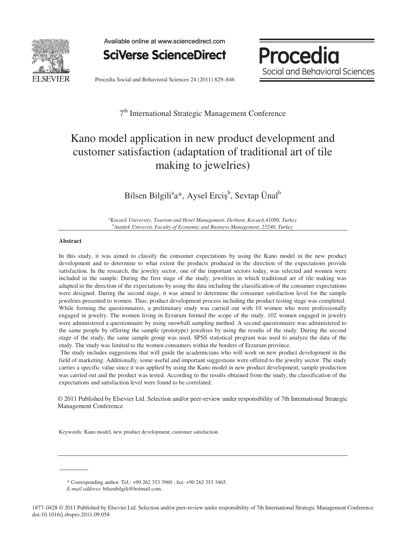

Available online at www.sciencedirect.com





Procedia Social and Behavioral Sciences 24 (2011) 829–846

### 7<sup>th</sup> International Strategic Management Conference

## Kano model application in new product development and customer satisfaction (adaptation of traditional art of tile making to jewelries)

Bilsen Bilgili<sup>a</sup>a\*, Aysel Erciș<sup>b</sup>, Sevtap Ünal<sup>b</sup>

*a Kocaeli University, Tourism and Hotel Management, Derbent, Kocaeli,41080, Turkey b Atatürk Universit, Faculty of Economic and Business Management, 25240, Turkey* 

#### **Abstract**

In this study, it was aimed to classify the consumer expectations by using the Kano model in the new product development and to determine to what extent the products produced in the direction of the expectations provide satisfaction. In the research, the jewelry sector, one of the important sectors today, was selected and women were included in the sample. During the first stage of the study, jewelries in which traditional art of tile making was adapted in the direction of the expectations by using the data including the classification of the consumer expectations were designed. During the second stage, it was aimed to determine the consumer satisfaction level for the sample jewelries presented to women. Thus, product development process including the product testing stage was completed. While forming the questionnaires, a preliminary study was carried out with 10 women who were professionally engaged in jewelry. The women living in Erzurum formed the scope of the study. 102 women engaged in jewelry were administered a questionnaire by using snowball sampling method. A second questionnaire was administered to the same people by offering the sample (prototype) jewelries by using the results of the study. During the second stage of the study, the same sample group was used. SPSS statistical program was used to analyze the data of the study. The study was limited to the women consumers within the borders of Erzurum province.

 The study includes suggestions that will guide the academicians who will work on new product development in the field of marketing. Additionally, some useful and important suggestions were offered to the jewelry sector. The study carries a specific value since it was applied by using the Kano model in new product development, sample production was carried out and the product was tested. According to the results obtained from the study, the classification of the expectations and satisfaction level were found to be correlated.

© 2011 Published by Elsevier Ltd. Selection and/or peer-review under responsibility 7th International © 2011 Published by Elsevier Ltd. Selection and/or peer-review under responsibility of 7th International Strategic Management Conference

Keywords: Kano model, new product development, customer satisfaction

\* Corresponding author. Tel.: +90 262 353 3960 ; fax: +90 262 353 3465.

*E-mail address*: bilsenbilgili@hotmail.com.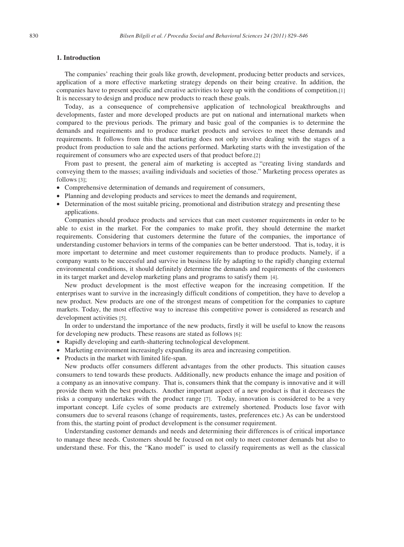#### **1. Introduction**

The companies' reaching their goals like growth, development, producing better products and services, application of a more effective marketing strategy depends on their being creative. In addition, the companies have to present specific and creative activities to keep up with the conditions of competition.[1] It is necessary to design and produce new products to reach these goals.

Today, as a consequence of comprehensive application of technological breakthroughs and developments, faster and more developed products are put on national and international markets when compared to the previous periods. The primary and basic goal of the companies is to determine the demands and requirements and to produce market products and services to meet these demands and requirements. It follows from this that marketing does not only involve dealing with the stages of a product from production to sale and the actions performed. Marketing starts with the investigation of the requirement of consumers who are expected users of that product before.[2]

From past to present, the general aim of marketing is accepted as "creating living standards and conveying them to the masses; availing individuals and societies of those." Marketing process operates as follows [3];

- Comprehensive determination of demands and requirement of consumers,
- Planning and developing products and services to meet the demands and requirement,
- Determination of the most suitable pricing, promotional and distribution strategy and presenting these applications.

Companies should produce products and services that can meet customer requirements in order to be able to exist in the market. For the companies to make profit, they should determine the market requirements. Considering that customers determine the future of the companies, the importance of understanding customer behaviors in terms of the companies can be better understood. That is, today, it is more important to determine and meet customer requirements than to produce products. Namely, if a company wants to be successful and survive in business life by adapting to the rapidly changing external environmental conditions, it should definitely determine the demands and requirements of the customers in its target market and develop marketing plans and programs to satisfy them [4].

New product development is the most effective weapon for the increasing competition. If the enterprises want to survive in the increasingly difficult conditions of competition, they have to develop a new product. New products are one of the strongest means of competition for the companies to capture markets. Today, the most effective way to increase this competitive power is considered as research and development activities [5].

In order to understand the importance of the new products, firstly it will be useful to know the reasons for developing new products. These reasons are stated as follows [6]:

- Rapidly developing and earth-shattering technological development.
- Marketing environment increasingly expanding its area and increasing competition.
- Products in the market with limited life-span.

New products offer consumers different advantages from the other products. This situation causes consumers to tend towards these products. Additionally, new products enhance the image and position of a company as an innovative company. That is, consumers think that the company is innovative and it will provide them with the best products. Another important aspect of a new product is that it decreases the risks a company undertakes with the product range [7]. Today, innovation is considered to be a very important concept. Life cycles of some products are extremely shortened. Products lose favor with consumers due to several reasons (change of requirements, tastes, preferences etc.) As can be understood from this, the starting point of product development is the consumer requirement.

Understanding customer demands and needs and determining their differences is of critical importance to manage these needs. Customers should be focused on not only to meet customer demands but also to understand these. For this, the "Kano model" is used to classify requirements as well as the classical